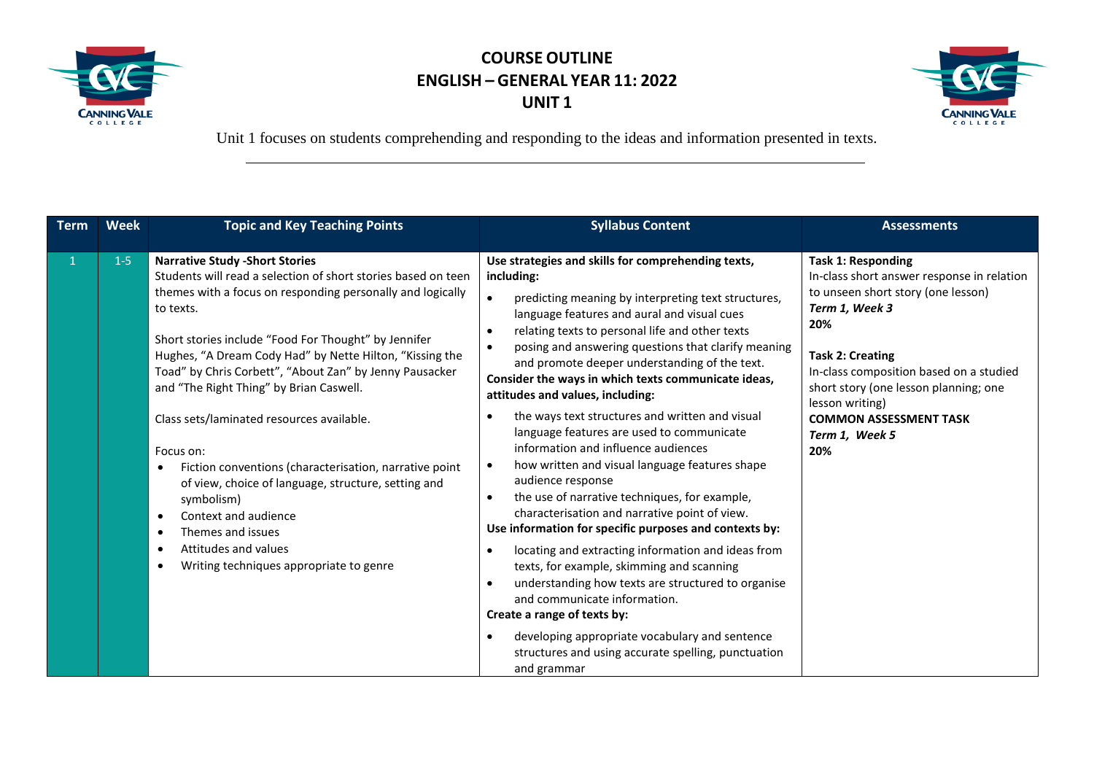



| <b>Term</b>    | <b>Week</b> | <b>Topic and Key Teaching Points</b>                                                                                                                                                                                                                                                                                                                                                                                                                                                                                                                                                                                                                                                                                                                                                   | <b>Syllabus Content</b>                                                                                                                                                                                                                                                                                                                                                                                                                                                                                                                                                                                                                                                                                                                                                                                                                                                                                                                                                                                                                                                                                                                                                                                                                                        | <b>Assessments</b>                                                                                                                                                                                                                                                                                                                 |
|----------------|-------------|----------------------------------------------------------------------------------------------------------------------------------------------------------------------------------------------------------------------------------------------------------------------------------------------------------------------------------------------------------------------------------------------------------------------------------------------------------------------------------------------------------------------------------------------------------------------------------------------------------------------------------------------------------------------------------------------------------------------------------------------------------------------------------------|----------------------------------------------------------------------------------------------------------------------------------------------------------------------------------------------------------------------------------------------------------------------------------------------------------------------------------------------------------------------------------------------------------------------------------------------------------------------------------------------------------------------------------------------------------------------------------------------------------------------------------------------------------------------------------------------------------------------------------------------------------------------------------------------------------------------------------------------------------------------------------------------------------------------------------------------------------------------------------------------------------------------------------------------------------------------------------------------------------------------------------------------------------------------------------------------------------------------------------------------------------------|------------------------------------------------------------------------------------------------------------------------------------------------------------------------------------------------------------------------------------------------------------------------------------------------------------------------------------|
| $\overline{1}$ | $1-5$       | <b>Narrative Study - Short Stories</b><br>Students will read a selection of short stories based on teen<br>themes with a focus on responding personally and logically<br>to texts.<br>Short stories include "Food For Thought" by Jennifer<br>Hughes, "A Dream Cody Had" by Nette Hilton, "Kissing the<br>Toad" by Chris Corbett", "About Zan" by Jenny Pausacker<br>and "The Right Thing" by Brian Caswell.<br>Class sets/laminated resources available.<br>Focus on:<br>Fiction conventions (characterisation, narrative point<br>$\bullet$<br>of view, choice of language, structure, setting and<br>symbolism)<br>Context and audience<br>$\bullet$<br>Themes and issues<br>$\bullet$<br>Attitudes and values<br>$\bullet$<br>Writing techniques appropriate to genre<br>$\bullet$ | Use strategies and skills for comprehending texts,<br>including:<br>$\bullet$<br>predicting meaning by interpreting text structures,<br>language features and aural and visual cues<br>relating texts to personal life and other texts<br>$\bullet$<br>posing and answering questions that clarify meaning<br>and promote deeper understanding of the text.<br>Consider the ways in which texts communicate ideas,<br>attitudes and values, including:<br>the ways text structures and written and visual<br>$\bullet$<br>language features are used to communicate<br>information and influence audiences<br>how written and visual language features shape<br>$\bullet$<br>audience response<br>the use of narrative techniques, for example,<br>$\bullet$<br>characterisation and narrative point of view.<br>Use information for specific purposes and contexts by:<br>locating and extracting information and ideas from<br>$\bullet$<br>texts, for example, skimming and scanning<br>understanding how texts are structured to organise<br>$\bullet$<br>and communicate information.<br>Create a range of texts by:<br>developing appropriate vocabulary and sentence<br>$\bullet$<br>structures and using accurate spelling, punctuation<br>and grammar | <b>Task 1: Responding</b><br>In-class short answer response in relation<br>to unseen short story (one lesson)<br>Term 1, Week 3<br>20%<br><b>Task 2: Creating</b><br>In-class composition based on a studied<br>short story (one lesson planning; one<br>lesson writing)<br><b>COMMON ASSESSMENT TASK</b><br>Term 1, Week 5<br>20% |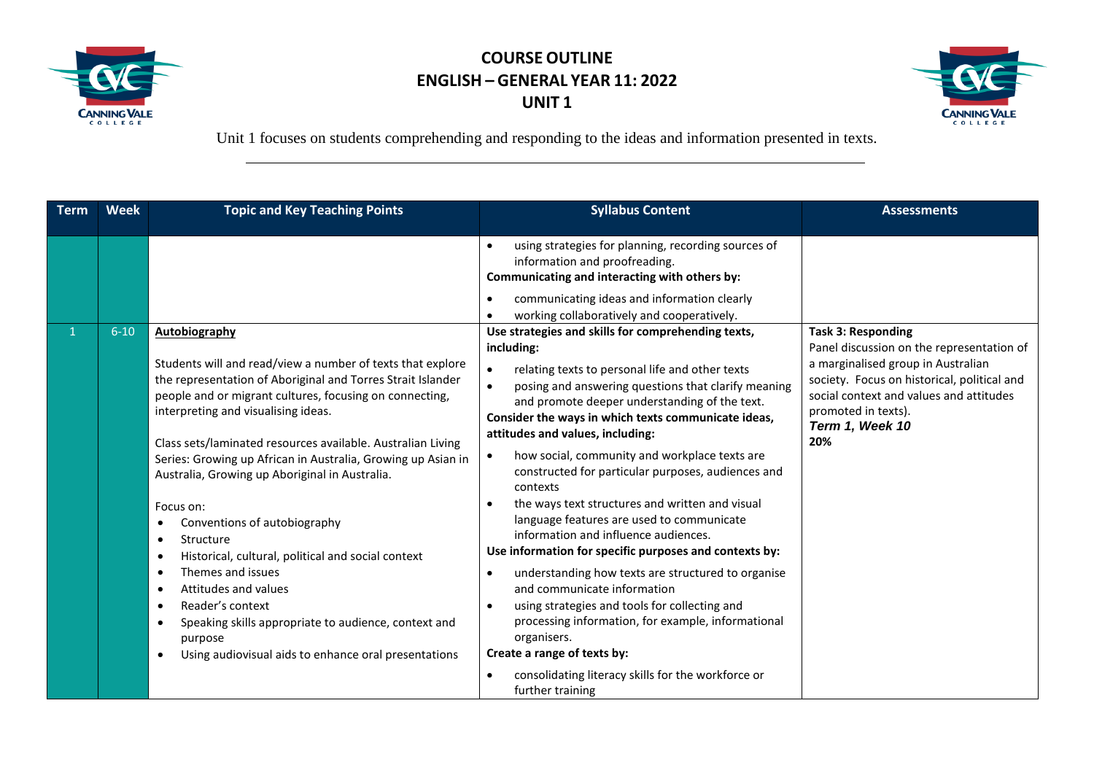



| <b>Term</b> | <b>Week</b> | <b>Topic and Key Teaching Points</b>                                                                                                                                                                                                                                                                                                                                                                                                                                                                                                                                                                                                                                                                                                                                                                                                      | <b>Syllabus Content</b>                                                                                                                                                                                                                                                                                                                                                                                                                                                                                                                                                                                                                                                                                                                                                                                                                                                                                                                                                                                                                       | <b>Assessments</b>                                                                                                                                                                                                                                      |
|-------------|-------------|-------------------------------------------------------------------------------------------------------------------------------------------------------------------------------------------------------------------------------------------------------------------------------------------------------------------------------------------------------------------------------------------------------------------------------------------------------------------------------------------------------------------------------------------------------------------------------------------------------------------------------------------------------------------------------------------------------------------------------------------------------------------------------------------------------------------------------------------|-----------------------------------------------------------------------------------------------------------------------------------------------------------------------------------------------------------------------------------------------------------------------------------------------------------------------------------------------------------------------------------------------------------------------------------------------------------------------------------------------------------------------------------------------------------------------------------------------------------------------------------------------------------------------------------------------------------------------------------------------------------------------------------------------------------------------------------------------------------------------------------------------------------------------------------------------------------------------------------------------------------------------------------------------|---------------------------------------------------------------------------------------------------------------------------------------------------------------------------------------------------------------------------------------------------------|
|             |             |                                                                                                                                                                                                                                                                                                                                                                                                                                                                                                                                                                                                                                                                                                                                                                                                                                           | using strategies for planning, recording sources of<br>$\bullet$<br>information and proofreading.<br>Communicating and interacting with others by:<br>communicating ideas and information clearly<br>$\bullet$<br>working collaboratively and cooperatively.                                                                                                                                                                                                                                                                                                                                                                                                                                                                                                                                                                                                                                                                                                                                                                                  |                                                                                                                                                                                                                                                         |
|             | $6 - 10$    | Autobiography<br>Students will and read/view a number of texts that explore<br>the representation of Aboriginal and Torres Strait Islander<br>people and or migrant cultures, focusing on connecting,<br>interpreting and visualising ideas.<br>Class sets/laminated resources available. Australian Living<br>Series: Growing up African in Australia, Growing up Asian in<br>Australia, Growing up Aboriginal in Australia.<br>Focus on:<br>Conventions of autobiography<br>٠<br>Structure<br>$\bullet$<br>Historical, cultural, political and social context<br>$\bullet$<br>Themes and issues<br>$\bullet$<br>Attitudes and values<br>$\bullet$<br>Reader's context<br>$\bullet$<br>Speaking skills appropriate to audience, context and<br>$\bullet$<br>purpose<br>Using audiovisual aids to enhance oral presentations<br>$\bullet$ | Use strategies and skills for comprehending texts,<br>including:<br>$\bullet$<br>relating texts to personal life and other texts<br>posing and answering questions that clarify meaning<br>$\bullet$<br>and promote deeper understanding of the text.<br>Consider the ways in which texts communicate ideas,<br>attitudes and values, including:<br>how social, community and workplace texts are<br>constructed for particular purposes, audiences and<br>contexts<br>the ways text structures and written and visual<br>$\bullet$<br>language features are used to communicate<br>information and influence audiences.<br>Use information for specific purposes and contexts by:<br>understanding how texts are structured to organise<br>$\bullet$<br>and communicate information<br>using strategies and tools for collecting and<br>$\bullet$<br>processing information, for example, informational<br>organisers.<br>Create a range of texts by:<br>consolidating literacy skills for the workforce or<br>$\bullet$<br>further training | <b>Task 3: Responding</b><br>Panel discussion on the representation of<br>a marginalised group in Australian<br>society. Focus on historical, political and<br>social context and values and attitudes<br>promoted in texts).<br>Term 1, Week 10<br>20% |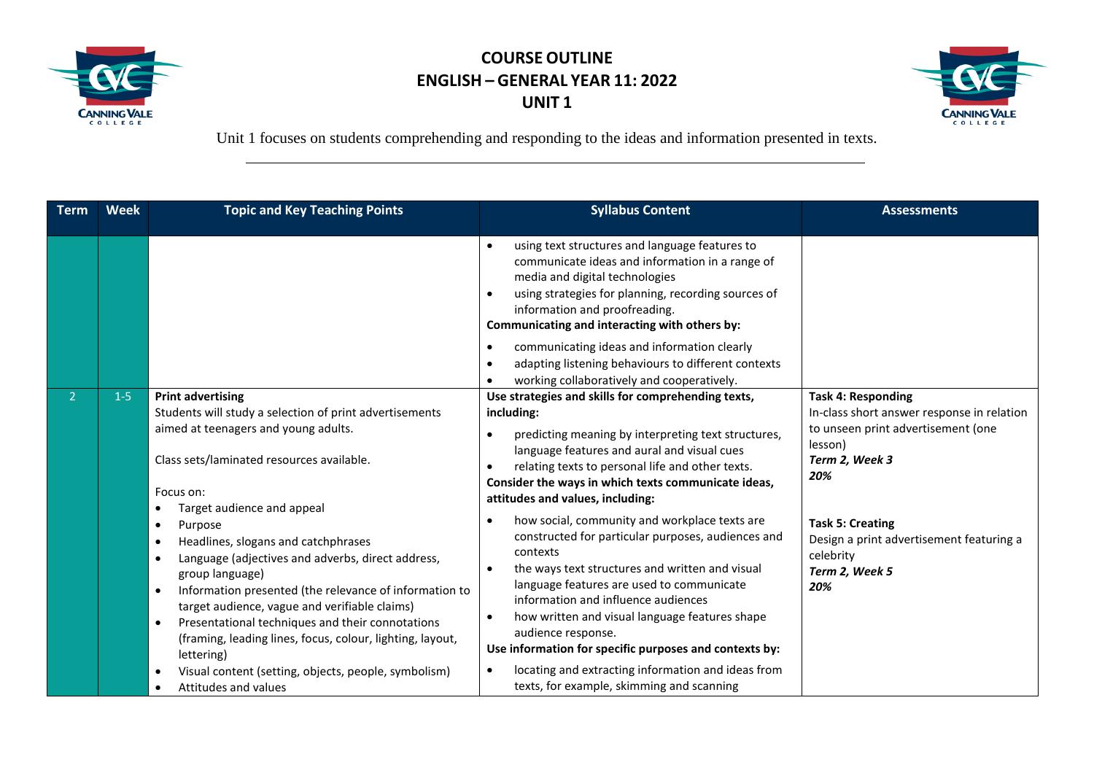



| <b>Term</b>    | <b>Week</b> | <b>Topic and Key Teaching Points</b>                                                                                                                                                                                                                                                                                                                                                                                                                                                                                                 | <b>Syllabus Content</b>                                                                                                                                                                                                                                                                                                                                                                                                                        | <b>Assessments</b>                                                                                                                                |
|----------------|-------------|--------------------------------------------------------------------------------------------------------------------------------------------------------------------------------------------------------------------------------------------------------------------------------------------------------------------------------------------------------------------------------------------------------------------------------------------------------------------------------------------------------------------------------------|------------------------------------------------------------------------------------------------------------------------------------------------------------------------------------------------------------------------------------------------------------------------------------------------------------------------------------------------------------------------------------------------------------------------------------------------|---------------------------------------------------------------------------------------------------------------------------------------------------|
|                |             |                                                                                                                                                                                                                                                                                                                                                                                                                                                                                                                                      | using text structures and language features to<br>communicate ideas and information in a range of<br>media and digital technologies<br>using strategies for planning, recording sources of<br>information and proofreading.<br>Communicating and interacting with others by:                                                                                                                                                                   |                                                                                                                                                   |
|                |             |                                                                                                                                                                                                                                                                                                                                                                                                                                                                                                                                      | communicating ideas and information clearly<br>adapting listening behaviours to different contexts<br>working collaboratively and cooperatively.                                                                                                                                                                                                                                                                                               |                                                                                                                                                   |
| $\overline{2}$ | $1-5$       | <b>Print advertising</b><br>Students will study a selection of print advertisements<br>aimed at teenagers and young adults.<br>Class sets/laminated resources available.<br>Focus on:                                                                                                                                                                                                                                                                                                                                                | Use strategies and skills for comprehending texts,<br>including:<br>predicting meaning by interpreting text structures,<br>language features and aural and visual cues<br>relating texts to personal life and other texts.<br>Consider the ways in which texts communicate ideas,<br>attitudes and values, including:                                                                                                                          | <b>Task 4: Responding</b><br>In-class short answer response in relation<br>to unseen print advertisement (one<br>lesson)<br>Term 2, Week 3<br>20% |
|                |             | Target audience and appeal<br>$\bullet$<br>Purpose<br>$\bullet$<br>Headlines, slogans and catchphrases<br>$\bullet$<br>Language (adjectives and adverbs, direct address,<br>$\bullet$<br>group language)<br>Information presented (the relevance of information to<br>$\bullet$<br>target audience, vague and verifiable claims)<br>Presentational techniques and their connotations<br>$\bullet$<br>(framing, leading lines, focus, colour, lighting, layout,<br>lettering)<br>Visual content (setting, objects, people, symbolism) | how social, community and workplace texts are<br>constructed for particular purposes, audiences and<br>contexts<br>the ways text structures and written and visual<br>language features are used to communicate<br>information and influence audiences<br>how written and visual language features shape<br>audience response.<br>Use information for specific purposes and contexts by:<br>locating and extracting information and ideas from | <b>Task 5: Creating</b><br>Design a print advertisement featuring a<br>celebrity<br>Term 2, Week 5<br>20%                                         |
|                |             | Attitudes and values                                                                                                                                                                                                                                                                                                                                                                                                                                                                                                                 | texts, for example, skimming and scanning                                                                                                                                                                                                                                                                                                                                                                                                      |                                                                                                                                                   |